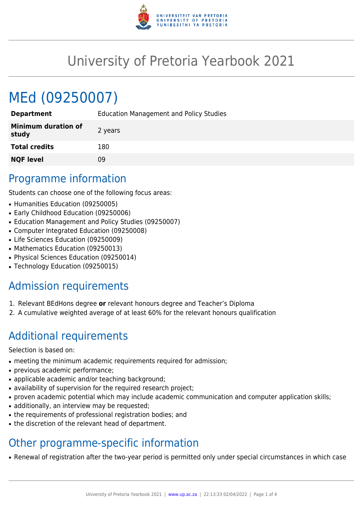

# University of Pretoria Yearbook 2021

# MEd (09250007)

| <b>Education Management and Policy Studies</b> |
|------------------------------------------------|
| 2 years                                        |
| 180                                            |
| 09                                             |
|                                                |

# Programme information

Students can choose one of the following focus areas:

- Humanities Education (09250005)
- Early Childhood Education (09250006)
- Education Management and Policy Studies (09250007)
- Computer Integrated Education (09250008)
- Life Sciences Education (09250009)
- Mathematics Education (09250013)
- Physical Sciences Education (09250014)
- Technology Education (09250015)

# Admission requirements

- 1. Relevant BEdHons degree **or** relevant honours degree and Teacher's Diploma
- 2. A cumulative weighted average of at least 60% for the relevant honours qualification

# Additional requirements

Selection is based on:

- meeting the minimum academic requirements required for admission;
- previous academic performance;
- applicable academic and/or teaching background;
- availability of supervision for the required research project;
- proven academic potential which may include academic communication and computer application skills;
- additionally, an interview may be requested;
- the requirements of professional registration bodies; and
- the discretion of the relevant head of department.

# Other programme-specific information

• Renewal of registration after the two-year period is permitted only under special circumstances in which case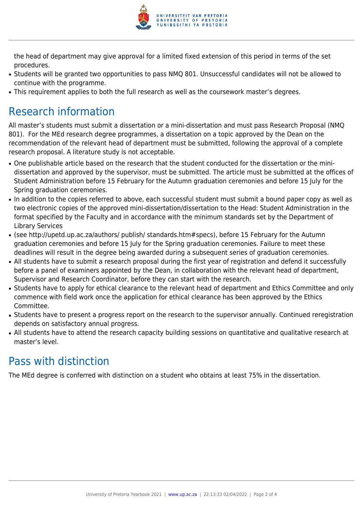

the head of department may give approval for a limited fixed extension of this period in terms of the set procedures.

- Students will be granted two opportunities to pass NMQ 801. Unsuccessful candidates will not be allowed to continue with the programme.
- This requirement applies to both the full research as well as the coursework master's degrees.

# Research information

All master's students must submit a dissertation or a mini-dissertation and must pass Research Proposal (NMQ 801). For the MEd research degree programmes, a dissertation on a topic approved by the Dean on the recommendation of the relevant head of department must be submitted, following the approval of a complete research proposal. A literature study is not acceptable.

- One publishable article based on the research that the student conducted for the dissertation or the minidissertation and approved by the supervisor, must be submitted. The article must be submitted at the offices of Student Administration before 15 February for the Autumn graduation ceremonies and before 15 July for the Spring graduation ceremonies.
- In addition to the copies referred to above, each successful student must submit a bound paper copy as well as two electronic copies of the approved mini-dissertation/dissertation to the Head: Student Administration in the format specified by the Faculty and in accordance with the minimum standards set by the Department of Library Services
- (see http://upetd.up.ac.za/authors/ publish/ standards.htm#specs), before 15 February for the Autumn graduation ceremonies and before 15 July for the Spring graduation ceremonies. Failure to meet these deadlines will result in the degree being awarded during a subsequent series of graduation ceremonies.
- All students have to submit a research proposal during the first year of registration and defend it successfully before a panel of examiners appointed by the Dean, in collaboration with the relevant head of department, Supervisor and Research Coordinator, before they can start with the research.
- Students have to apply for ethical clearance to the relevant head of department and Ethics Committee and only commence with field work once the application for ethical clearance has been approved by the Ethics Committee.
- Students have to present a progress report on the research to the supervisor annually. Continued reregistration depends on satisfactory annual progress.
- All students have to attend the research capacity building sessions on quantitative and qualitative research at master's level.

# Pass with distinction

The MEd degree is conferred with distinction on a student who obtains at least 75% in the dissertation.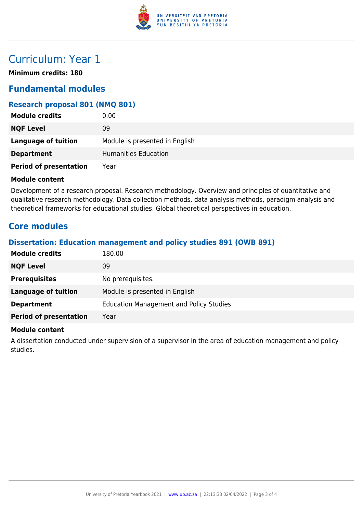

## Curriculum: Year 1

**Minimum credits: 180**

### **Fundamental modules**

### **Research proposal 801 (NMQ 801)**

| <b>Module credits</b>         | 0.00                           |
|-------------------------------|--------------------------------|
| <b>NQF Level</b>              | 09                             |
| Language of tuition           | Module is presented in English |
| <b>Department</b>             | <b>Humanities Education</b>    |
| <b>Period of presentation</b> | Year                           |

#### **Module content**

Development of a research proposal. Research methodology. Overview and principles of quantitative and qualitative research methodology. Data collection methods, data analysis methods, paradigm analysis and theoretical frameworks for educational studies. Global theoretical perspectives in education.

### **Core modules**

### **Dissertation: Education management and policy studies 891 (OWB 891)**

| <b>Module credits</b>         | 180.00                                         |
|-------------------------------|------------------------------------------------|
| <b>NQF Level</b>              | 09                                             |
| <b>Prerequisites</b>          | No prerequisites.                              |
| Language of tuition           | Module is presented in English                 |
| <b>Department</b>             | <b>Education Management and Policy Studies</b> |
| <b>Period of presentation</b> | Year                                           |

#### **Module content**

A dissertation conducted under supervision of a supervisor in the area of education management and policy studies.